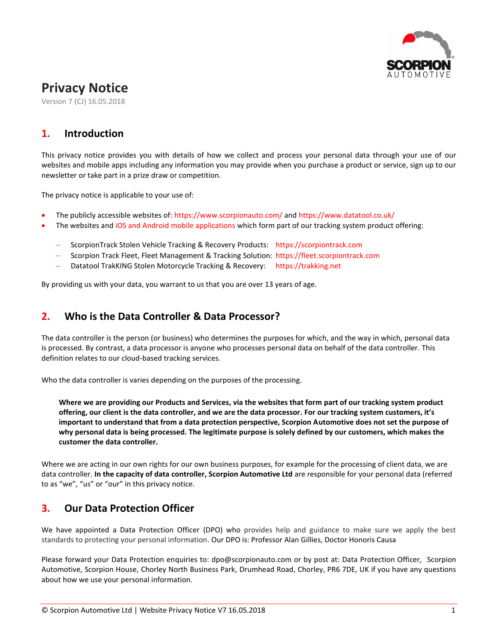

# **Privacy Notice**

Version 7 (CJ) 16.05.2018

# **1. Introduction**

This privacy notice provides you with details of how we collect and process your personal data through your use of our websites and mobile apps including any information you may provide when you purchase a product or service, sign up to our newsletter or take part in a prize draw or competition.

The privacy notice is applicable to your use of:

- The publicly accessible websites of: https://www.scorpionauto.com/ and https://www.datatool.co.uk/
- The websites and iOS and Android mobile applications which form part of our tracking system product offering:
	- ScorpionTrack Stolen Vehicle Tracking & Recovery Products: [https://scorpiontrack.com](https://scorpiontrack.com/)
	- Scorpion Track Fleet, Fleet Management & Tracking Solution: [https://fleet.scorpiontrack.com](https://fleet.scorpiontrack.com/)
	- Datatool TrakKING Stolen Motorcycle Tracking & Recovery: https://trakking.net

By providing us with your data, you warrant to us that you are over 13 years of age.

#### **2. Who is the Data Controller & Data Processor?**

The data controller is the person (or business) who determines the purposes for which, and the way in which, personal data is processed. By contrast, a data processor is anyone who processes personal data on behalf of the data controller. This definition relates to our cloud-based tracking services.

Who the data controller is varies depending on the purposes of the processing.

**Where we are providing our Products and Services, via the websites that form part of our tracking system product offering, our client is the data controller, and we are the data processor. For our tracking system customers, it's important to understand that from a data protection perspective, Scorpion Automotive does not set the purpose of why personal data is being processed. The legitimate purpose is solely defined by our customers, which makes the customer the data controller.**

Where we are acting in our own rights for our own business purposes, for example for the processing of client data, we are data controller. **In the capacity of data controller, Scorpion Automotive Ltd** are responsible for your personal data (referred to as "we", "us" or "our" in this privacy notice.

# **3. Our Data Protection Officer**

We have appointed a Data Protection Officer (DPO) who provides help and guidance to make sure we apply the best standards to protecting your personal information. Our DPO is: Professor Alan Gillies, Doctor Honoris Causa

Please forward your Data Protection enquiries to: dpo@scorpionauto.com or by post at: Data Protection Officer, Scorpion Automotive, Scorpion House, Chorley North Business Park, Drumhead Road, Chorley, PR6 7DE, UK if you have any questions about how we use your personal information.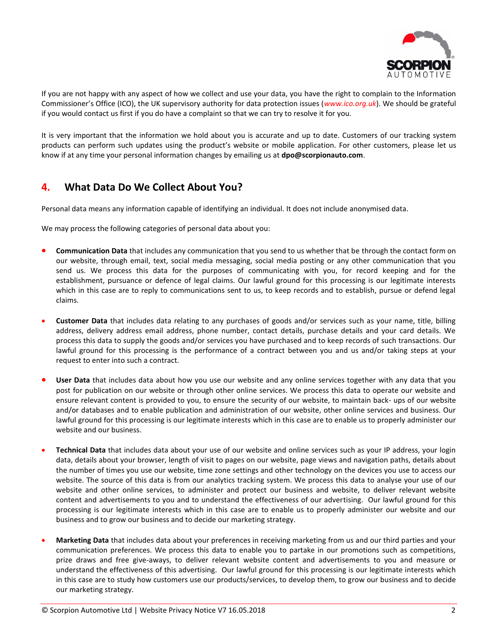

If you are not happy with any aspect of how we collect and use your data, you have the right to complain to the Information Commissioner's Office (ICO), the UK supervisory authority for data protection issues (*[www.ico.org.uk](http://www.ico.org.uk/)*). We should be grateful if you would contact us first if you do have a complaint so that we can try to resolve it for you.

It is very important that the information we hold about you is accurate and up to date. Customers of our tracking system products can perform such updates using the product's website or mobile application. For other customers, please let us know if at any time your personal information changes by emailing us at **dpo@scorpionauto.com**.

## **4. What Data Do We Collect About You?**

Personal data means any information capable of identifying an individual. It does not include anonymised data.

We may process the following categories of personal data about you:

- **Communication Data** that includes any communication that you send to us whether that be through the contact form on our website, through email, text, social media messaging, social media posting or any other communication that you send us. We process this data for the purposes of communicating with you, for record keeping and for the establishment, pursuance or defence of legal claims. Our lawful ground for this processing is our legitimate interests which in this case are to reply to communications sent to us, to keep records and to establish, pursue or defend legal claims.
- **Customer Data** that includes data relating to any purchases of goods and/or services such as your name, title, billing address, delivery address email address, phone number, contact details, purchase details and your card details. We process this data to supply the goods and/or services you have purchased and to keep records of such transactions. Our lawful ground for this processing is the performance of a contract between you and us and/or taking steps at your request to enter into such a contract.
- **User Data** that includes data about how you use our website and any online services together with any data that you post for publication on our website or through other online services. We process this data to operate our website and ensure relevant content is provided to you, to ensure the security of our website, to maintain back- ups of our website and/or databases and to enable publication and administration of our website, other online services and business. Our lawful ground for this processing is our legitimate interests which in this case are to enable us to properly administer our website and our business.
- **Technical Data** that includes data about your use of our website and online services such as your IP address, your login data, details about your browser, length of visit to pages on our website, page views and navigation paths, details about the number of times you use our website, time zone settings and other technology on the devices you use to access our website. The source of this data is from our analytics tracking system. We process this data to analyse your use of our website and other online services, to administer and protect our business and website, to deliver relevant website content and advertisements to you and to understand the effectiveness of our advertising. Our lawful ground for this processing is our legitimate interests which in this case are to enable us to properly administer our website and our business and to grow our business and to decide our marketing strategy.
- **Marketing Data** that includes data about your preferences in receiving marketing from us and our third parties and your communication preferences. We process this data to enable you to partake in our promotions such as competitions, prize draws and free give-aways, to deliver relevant website content and advertisements to you and measure or understand the effectiveness of this advertising. Our lawful ground for this processing is our legitimate interests which in this case are to study how customers use our products/services, to develop them, to grow our business and to decide our marketing strategy.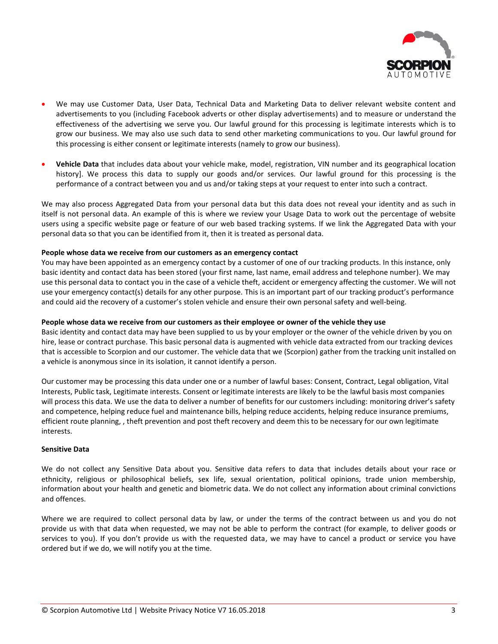

- We may use Customer Data, User Data, Technical Data and Marketing Data to deliver relevant website content and advertisements to you (including Facebook adverts or other display advertisements) and to measure or understand the effectiveness of the advertising we serve you. Our lawful ground for this processing is legitimate interests which is to grow our business. We may also use such data to send other marketing communications to you. Our lawful ground for this processing is either consent or legitimate interests (namely to grow our business).
- **Vehicle Data** that includes data about your vehicle make, model, registration, VIN number and its geographical location history]. We process this data to supply our goods and/or services. Our lawful ground for this processing is the performance of a contract between you and us and/or taking steps at your request to enter into such a contract.

We may also process Aggregated Data from your personal data but this data does not reveal your identity and as such in itself is not personal data. An example of this is where we review your Usage Data to work out the percentage of website users using a specific website page or feature of our web based tracking systems. If we link the Aggregated Data with your personal data so that you can be identified from it, then it is treated as personal data.

#### **People whose data we receive from our customers as an emergency contact**

You may have been appointed as an emergency contact by a customer of one of our tracking products. In this instance, only basic identity and contact data has been stored (your first name, last name, email address and telephone number). We may use this personal data to contact you in the case of a vehicle theft, accident or emergency affecting the customer. We will not use your emergency contact(s) details for any other purpose. This is an important part of our tracking product's performance and could aid the recovery of a customer's stolen vehicle and ensure their own personal safety and well-being.

#### **People whose data we receive from our customers as their employee or owner of the vehicle they use**

Basic identity and contact data may have been supplied to us by your employer or the owner of the vehicle driven by you on hire, lease or contract purchase. This basic personal data is augmented with vehicle data extracted from our tracking devices that is accessible to Scorpion and our customer. The vehicle data that we (Scorpion) gather from the tracking unit installed on a vehicle is anonymous since in its isolation, it cannot identify a person.

Our customer may be processing this data under one or a number of lawful bases: Consent, Contract, Legal obligation, Vital Interests, Public task, Legitimate interests. Consent or legitimate interests are likely to be the lawful basis most companies will process this data. We use the data to deliver a number of benefits for our customers including: monitoring driver's safety and competence, helping reduce fuel and maintenance bills, helping reduce accidents, helping reduce insurance premiums, efficient route planning, , theft prevention and post theft recovery and deem this to be necessary for our own legitimate interests.

#### **Sensitive Data**

We do not collect any Sensitive Data about you. Sensitive data refers to data that includes details about your race or ethnicity, religious or philosophical beliefs, sex life, sexual orientation, political opinions, trade union membership, information about your health and genetic and biometric data. We do not collect any information about criminal convictions and offences.

Where we are required to collect personal data by law, or under the terms of the contract between us and you do not provide us with that data when requested, we may not be able to perform the contract (for example, to deliver goods or services to you). If you don't provide us with the requested data, we may have to cancel a product or service you have ordered but if we do, we will notify you at the time.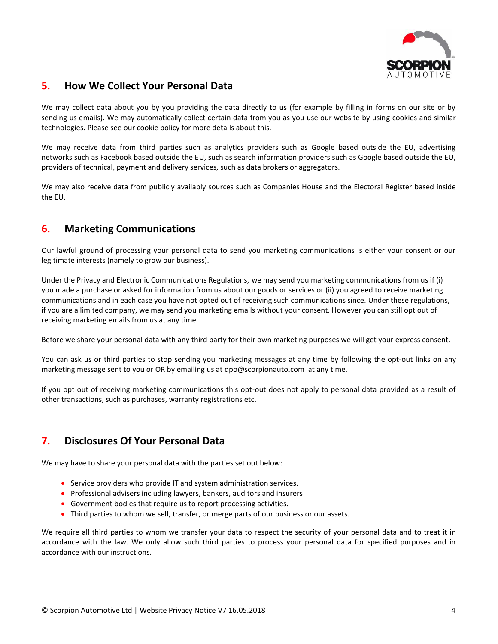

### **5. How We Collect Your Personal Data**

We may collect data about you by you providing the data directly to us (for example by filling in forms on our site or by sending us emails). We may automatically collect certain data from you as you use our website by using cookies and similar technologies. Please see our cookie policy for more details about this.

We may receive data from third parties such as analytics providers such as Google based outside the EU, advertising networks such as Facebook based outside the EU, such as search information providers such as Google based outside the EU, providers of technical, payment and delivery services, such as data brokers or aggregators.

We may also receive data from publicly availably sources such as Companies House and the Electoral Register based inside the EU.

### **6. Marketing Communications**

Our lawful ground of processing your personal data to send you marketing communications is either your consent or our legitimate interests (namely to grow our business).

Under the Privacy and Electronic Communications Regulations, we may send you marketing communications from us if (i) you made a purchase or asked for information from us about our goods or services or (ii) you agreed to receive marketing communications and in each case you have not opted out of receiving such communications since. Under these regulations, if you are a limited company, we may send you marketing emails without your consent. However you can still opt out of receiving marketing emails from us at any time.

Before we share your personal data with any third party for their own marketing purposes we will get your express consent.

You can ask us or third parties to stop sending you marketing messages at any time by following the opt-out links on any marketing message sent to you or OR by emailing us at dpo@scorpionauto.com at any time.

If you opt out of receiving marketing communications this opt-out does not apply to personal data provided as a result of other transactions, such as purchases, warranty registrations etc.

### **7. Disclosures Of Your Personal Data**

We may have to share your personal data with the parties set out below:

- Service providers who provide IT and system administration services.
- Professional advisers including lawyers, bankers, auditors and insurers
- Government bodies that require us to report processing activities.
- Third parties to whom we sell, transfer, or merge parts of our business or our assets.

We require all third parties to whom we transfer your data to respect the security of your personal data and to treat it in accordance with the law. We only allow such third parties to process your personal data for specified purposes and in accordance with our instructions.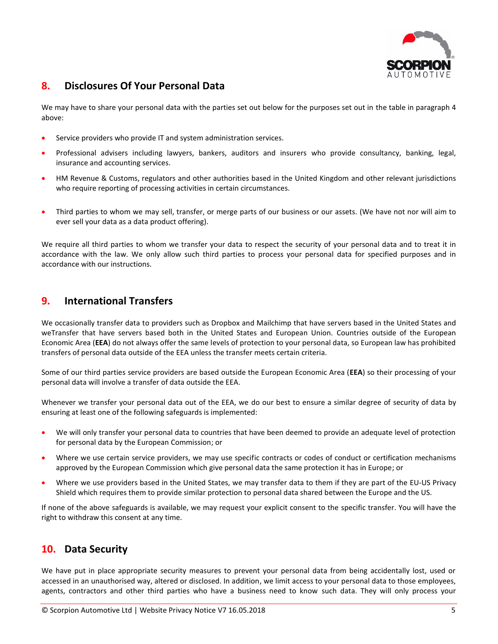

### **8. Disclosures Of Your Personal Data**

We may have to share your personal data with the parties set out below for the purposes set out in the table in paragraph 4 above:

- Service providers who provide IT and system administration services.
- Professional advisers including lawyers, bankers, auditors and insurers who provide consultancy, banking, legal, insurance and accounting services.
- HM Revenue & Customs, regulators and other authorities based in the United Kingdom and other relevant jurisdictions who require reporting of processing activities in certain circumstances.
- Third parties to whom we may sell, transfer, or merge parts of our business or our assets. (We have not nor will aim to ever sell your data as a data product offering).

We require all third parties to whom we transfer your data to respect the security of your personal data and to treat it in accordance with the law. We only allow such third parties to process your personal data for specified purposes and in accordance with our instructions.

#### **9. International Transfers**

We occasionally transfer data to providers such as Dropbox and Mailchimp that have servers based in the United States and weTransfer that have servers based both in the United States and European Union. Countries outside of the European Economic Area (**EEA**) do not always offer the same levels of protection to your personal data, so European law has prohibited transfers of personal data outside of the EEA unless the transfer meets certain criteria.

Some of our third parties service providers are based outside the European Economic Area (**EEA**) so their processing of your personal data will involve a transfer of data outside the EEA.

Whenever we transfer your personal data out of the EEA, we do our best to ensure a similar degree of security of data by ensuring at least one of the following safeguards is implemented:

- We will only transfer your personal data to countries that have been deemed to provide an adequate level of protection for personal data by the European Commission; or
- Where we use certain service providers, we may use specific contracts or codes of conduct or certification mechanisms approved by the European Commission which give personal data the same protection it has in Europe; or
- Where we use providers based in the United States, we may transfer data to them if they are part of the EU-US Privacy Shield which requires them to provide similar protection to personal data shared between the Europe and the US.

If none of the above safeguards is available, we may request your explicit consent to the specific transfer. You will have the right to withdraw this consent at any time.

### **10. Data Security**

We have put in place appropriate security measures to prevent your personal data from being accidentally lost, used or accessed in an unauthorised way, altered or disclosed. In addition, we limit access to your personal data to those employees, agents, contractors and other third parties who have a business need to know such data. They will only process your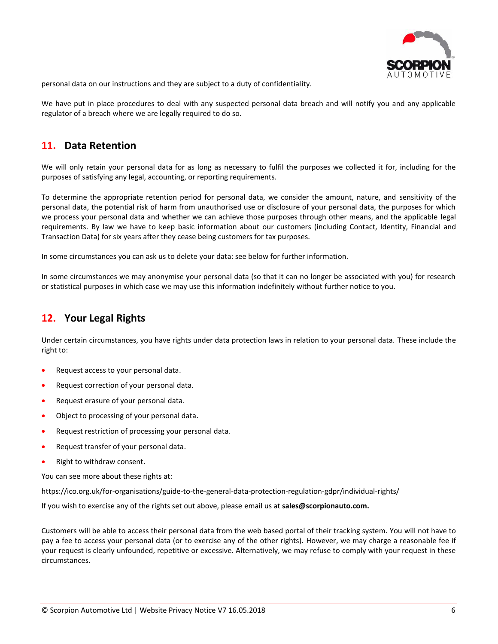

personal data on our instructions and they are subject to a duty of confidentiality.

We have put in place procedures to deal with any suspected personal data breach and will notify you and any applicable regulator of a breach where we are legally required to do so.

#### **11. Data Retention**

We will only retain your personal data for as long as necessary to fulfil the purposes we collected it for, including for the purposes of satisfying any legal, accounting, or reporting requirements.

To determine the appropriate retention period for personal data, we consider the amount, nature, and sensitivity of the personal data, the potential risk of harm from unauthorised use or disclosure of your personal data, the purposes for which we process your personal data and whether we can achieve those purposes through other means, and the applicable legal requirements. By law we have to keep basic information about our customers (including Contact, Identity, Financial and Transaction Data) for six years after they cease being customers for tax purposes.

In some circumstances you can ask us to delete your data: see below for further information.

In some circumstances we may anonymise your personal data (so that it can no longer be associated with you) for research or statistical purposes in which case we may use this information indefinitely without further notice to you.

#### **12. Your Legal Rights**

Under certain circumstances, you have rights under data protection laws in relation to your personal data. These include the right to:

- Request access to your personal data.
- Request correction of your personal data.
- **•** Request erasure of your personal data.
- Object to processing of your personal data.
- Request restriction of processing your personal data.
- Request transfer of your personal data.
- Right to withdraw consent.

You can see more about these rights at:

https://ico.org.uk/for-organisations/guide-to-the-general-data-protection-regulation-gdpr/individual-rights/

If you wish to exercise any of the rights set out above, please email us at **sales@scorpionauto.com.**

Customers will be able to access their personal data from the web based portal of their tracking system. You will not have to pay a fee to access your personal data (or to exercise any of the other rights). However, we may charge a reasonable fee if your request is clearly unfounded, repetitive or excessive. Alternatively, we may refuse to comply with your request in these circumstances.